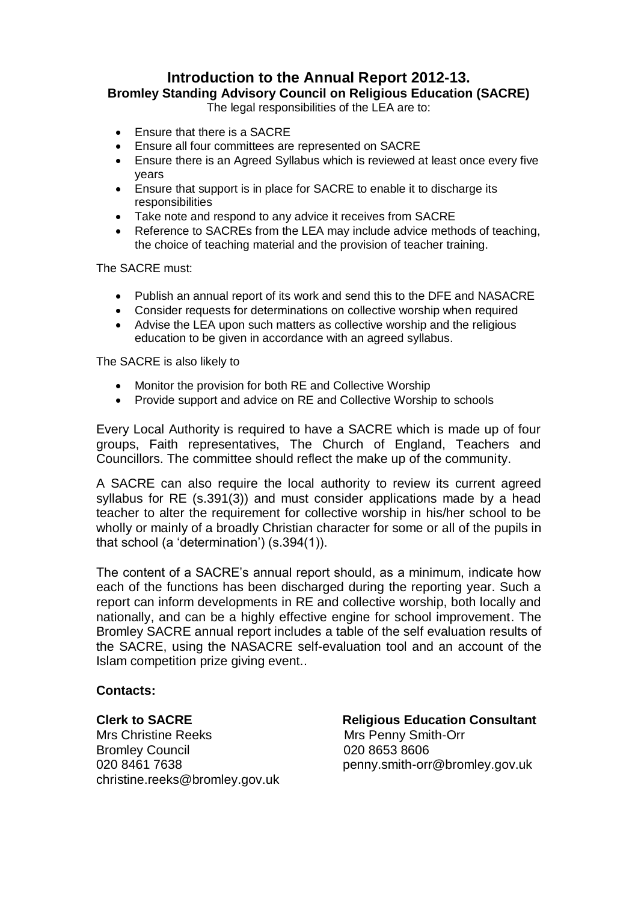# **Introduction to the Annual Report 2012-13.**

**Bromley Standing Advisory Council on Religious Education (SACRE)**

The legal responsibilities of the LEA are to:

- Ensure that there is a SACRE
- Ensure all four committees are represented on SACRE
- Ensure there is an Agreed Syllabus which is reviewed at least once every five years
- Ensure that support is in place for SACRE to enable it to discharge its responsibilities
- Take note and respond to any advice it receives from SACRE
- Reference to SACREs from the LEA may include advice methods of teaching. the choice of teaching material and the provision of teacher training.

The SACRE must:

- Publish an annual report of its work and send this to the DFE and NASACRE
- Consider requests for determinations on collective worship when required
- Advise the LEA upon such matters as collective worship and the religious education to be given in accordance with an agreed syllabus.

The SACRE is also likely to

- Monitor the provision for both RE and Collective Worship
- Provide support and advice on RE and Collective Worship to schools

Every Local Authority is required to have a SACRE which is made up of four groups, Faith representatives, The Church of England, Teachers and Councillors. The committee should reflect the make up of the community.

A SACRE can also require the local authority to review its current agreed syllabus for RE (s.391(3)) and must consider applications made by a head teacher to alter the requirement for collective worship in his/her school to be wholly or mainly of a broadly Christian character for some or all of the pupils in that school (a 'determination') (s.394(1)).

The content of a SACRE's annual report should, as a minimum, indicate how each of the functions has been discharged during the reporting year. Such a report can inform developments in RE and collective worship, both locally and nationally, and can be a highly effective engine for school improvement. The Bromley SACRE annual report includes a table of the self evaluation results of the SACRE, using the NASACRE self-evaluation tool and an account of the Islam competition prize giving event..

#### **Contacts:**

Mrs Christine Reeks Mrs Penny Smith-Orr Bromley Council 020 8653 8606 christine.reeks@bromley.gov.uk

**Clerk to SACRE** Religious Education Consultant 020 8461 7638 penny.smith-orr@bromley.gov.uk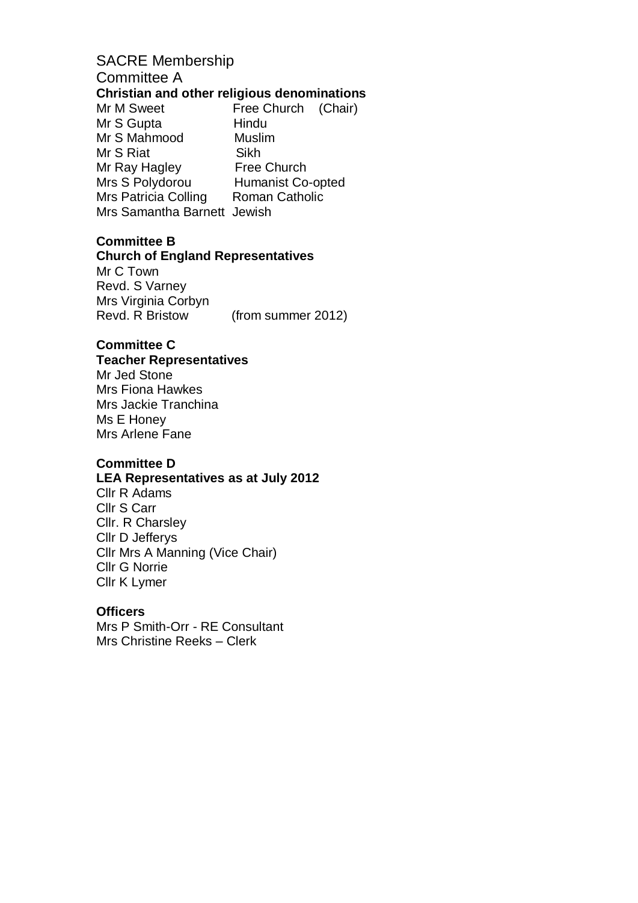# SACRE Membership Committee A **Christian and other religious denominations** Mr M Sweet Free Church (Chair)

Mr S Gupta Hindu Mr S Mahmood Muslim Mr S Riat Sikh Mr Ray Hagley Free Church<br>
Mrs S Polydorou Humanist Co-Humanist Co-opted Mrs Patricia Colling Roman Catholic Mrs Samantha Barnett Jewish

#### **Committee B**

#### **Church of England Representatives**

Mr C Town Revd. S Varney Mrs Virginia Corbyn Revd. R Bristow (from summer 2012)

# **Committee C**

# **Teacher Representatives**

Mr Jed Stone Mrs Fiona Hawkes Mrs Jackie Tranchina Ms E Honey Mrs Arlene Fane

# **Committee D**

#### **LEA Representatives as at July 2012**

Cllr R Adams Cllr S Carr Cllr. R Charsley Cllr D Jefferys Cllr Mrs A Manning (Vice Chair) Cllr G Norrie Cllr K Lymer

#### **Officers**

Mrs P Smith-Orr - RE Consultant Mrs Christine Reeks – Clerk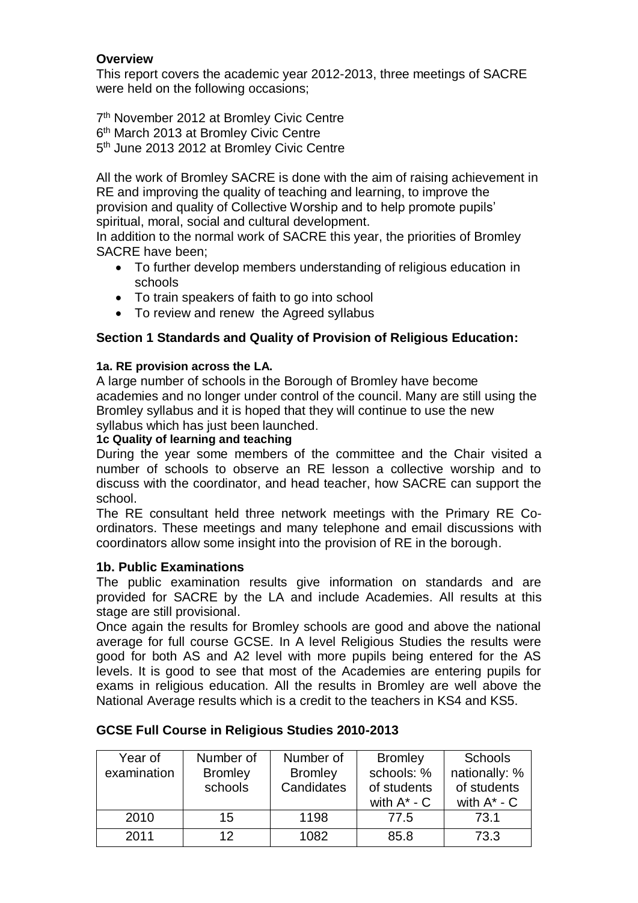# **Overview**

This report covers the academic year 2012-2013, three meetings of SACRE were held on the following occasions;

7<sup>th</sup> November 2012 at Bromley Civic Centre 6<sup>th</sup> March 2013 at Bromley Civic Centre 5<sup>th</sup> June 2013 2012 at Bromley Civic Centre

All the work of Bromley SACRE is done with the aim of raising achievement in RE and improving the quality of teaching and learning, to improve the provision and quality of Collective Worship and to help promote pupils' spiritual, moral, social and cultural development.

In addition to the normal work of SACRE this year, the priorities of Bromley SACRE have been;

- To further develop members understanding of religious education in schools
- To train speakers of faith to go into school
- To review and renew the Agreed syllabus

# **Section 1 Standards and Quality of Provision of Religious Education:**

### **1a. RE provision across the LA.**

A large number of schools in the Borough of Bromley have become academies and no longer under control of the council. Many are still using the Bromley syllabus and it is hoped that they will continue to use the new syllabus which has just been launched.

### **1c Quality of learning and teaching**

During the year some members of the committee and the Chair visited a number of schools to observe an RE lesson a collective worship and to discuss with the coordinator, and head teacher, how SACRE can support the school.

The RE consultant held three network meetings with the Primary RE Coordinators. These meetings and many telephone and email discussions with coordinators allow some insight into the provision of RE in the borough.

# **1b. Public Examinations**

The public examination results give information on standards and are provided for SACRE by the LA and include Academies. All results at this stage are still provisional.

Once again the results for Bromley schools are good and above the national average for full course GCSE. In A level Religious Studies the results were good for both AS and A2 level with more pupils being entered for the AS levels. It is good to see that most of the Academies are entering pupils for exams in religious education. All the results in Bromley are well above the National Average results which is a credit to the teachers in KS4 and KS5.

| Year of<br>examination | Number of<br><b>Bromley</b><br>schools | Number of<br><b>Bromley</b><br>Candidates | <b>Bromley</b><br>schools: %<br>of students<br>with $A^*$ - $C$ | <b>Schools</b><br>nationally: %<br>of students<br>with $A^*$ - $C$ |
|------------------------|----------------------------------------|-------------------------------------------|-----------------------------------------------------------------|--------------------------------------------------------------------|
| 2010                   | 15                                     | 1198                                      | 77.5                                                            | 73.1                                                               |
| 2011                   | 12                                     | 1082                                      | 85.8                                                            | 73.3                                                               |

# **GCSE Full Course in Religious Studies 2010-2013**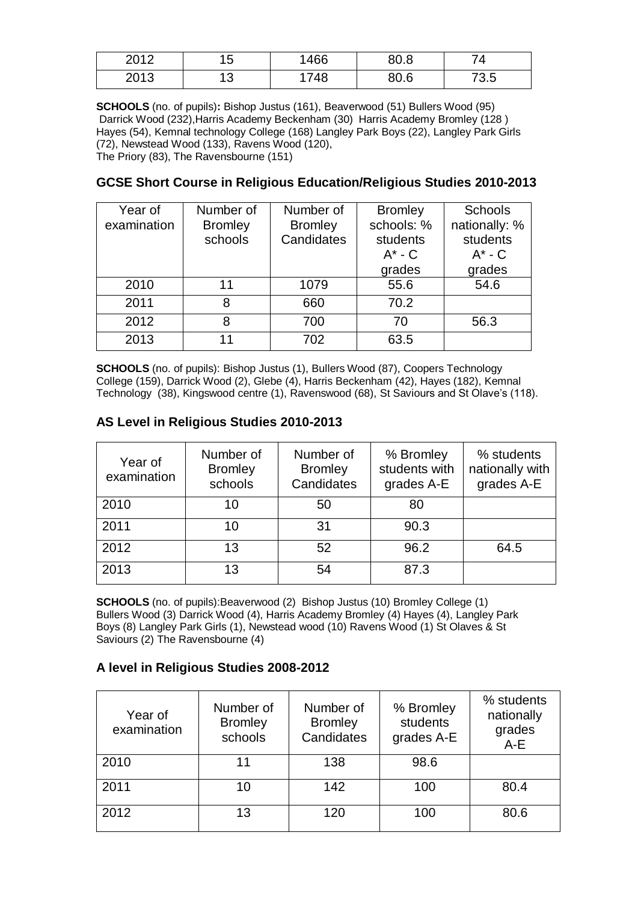| 2012         | . .<br>ັ | 466 | 80.8 |      |
|--------------|----------|-----|------|------|
| ついっつ<br>∠∪וט | ں ،      | 748 | 80.6 | 73.5 |

**SCHOOLS** (no. of pupils)**:** Bishop Justus (161), Beaverwood (51) Bullers Wood (95) Darrick Wood (232),Harris Academy Beckenham (30) Harris Academy Bromley (128 ) Hayes (54), Kemnal technology College (168) Langley Park Boys (22), Langley Park Girls (72), Newstead Wood (133), Ravens Wood (120), The Priory (83), The Ravensbourne (151)

### **GCSE Short Course in Religious Education/Religious Studies 2010-2013**

| Year of     | Number of      | Number of      | <b>Bromley</b> | <b>Schools</b> |
|-------------|----------------|----------------|----------------|----------------|
| examination | <b>Bromley</b> | <b>Bromley</b> | schools: %     | nationally: %  |
|             | schools        | Candidates     | students       | students       |
|             |                |                | $A^*$ - $C$    | $A^*$ - C      |
|             |                |                | grades         | grades         |
| 2010        | 11             | 1079           | 55.6           | 54.6           |
| 2011        | 8              | 660            | 70.2           |                |
| 2012        | 8              | 700            | 70             | 56.3           |
| 2013        | 11             | 702            | 63.5           |                |

**SCHOOLS** (no. of pupils): Bishop Justus (1), Bullers Wood (87), Coopers Technology College (159), Darrick Wood (2), Glebe (4), Harris Beckenham (42), Hayes (182), Kemnal Technology (38), Kingswood centre (1), Ravenswood (68), St Saviours and St Olave's (118).

| Year of<br>examination | Number of<br><b>Bromley</b><br>schools | Number of<br><b>Bromley</b><br>Candidates | % Bromley<br>students with<br>grades A-E | % students<br>nationally with<br>grades A-E |
|------------------------|----------------------------------------|-------------------------------------------|------------------------------------------|---------------------------------------------|
| 2010                   | 10                                     | 50                                        | 80                                       |                                             |
| 2011                   | 10                                     | 31                                        | 90.3                                     |                                             |
| 2012                   | 13                                     | 52                                        | 96.2                                     | 64.5                                        |
| 2013                   | 13                                     | 54                                        | 87.3                                     |                                             |

### **AS Level in Religious Studies 2010-2013**

**SCHOOLS** (no. of pupils):Beaverwood (2) Bishop Justus (10) Bromley College (1) Bullers Wood (3) Darrick Wood (4), Harris Academy Bromley (4) Hayes (4), Langley Park Boys (8) Langley Park Girls (1), Newstead wood (10) Ravens Wood (1) St Olaves & St Saviours (2) The Ravensbourne (4)

#### **A level in Religious Studies 2008-2012**

| Year of<br>examination | Number of<br><b>Bromley</b><br>schools | Number of<br><b>Bromley</b><br>Candidates | % Bromley<br>students<br>grades A-E | % students<br>nationally<br>grades<br>A-E |
|------------------------|----------------------------------------|-------------------------------------------|-------------------------------------|-------------------------------------------|
| 2010                   | 11                                     | 138                                       | 98.6                                |                                           |
| 2011                   | 10                                     | 142                                       | 100                                 | 80.4                                      |
| 2012                   | 13                                     | 120                                       | 100                                 | 80.6                                      |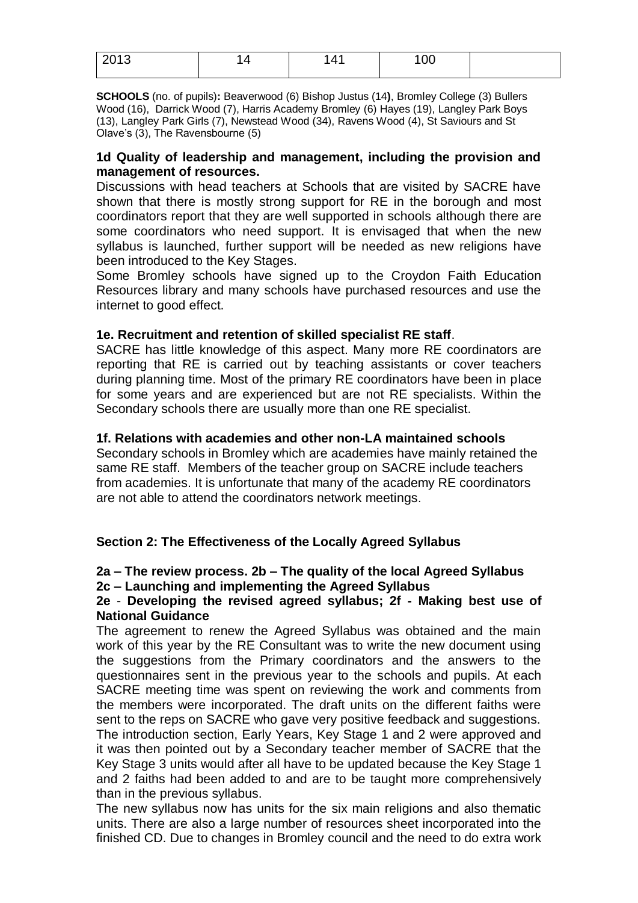| 0.010<br>$\sim$ $\sim$ | $\sqrt{ }$<br>. | UU |  |
|------------------------|-----------------|----|--|
|                        |                 |    |  |

**SCHOOLS** (no. of pupils)**:** Beaverwood (6) Bishop Justus (14**)**, Bromley College (3) Bullers Wood (16), Darrick Wood (7), Harris Academy Bromley (6) Hayes (19), Langley Park Boys (13), Langley Park Girls (7), Newstead Wood (34), Ravens Wood (4), St Saviours and St Olave's (3), The Ravensbourne (5)

#### **1d Quality of leadership and management, including the provision and management of resources.**

Discussions with head teachers at Schools that are visited by SACRE have shown that there is mostly strong support for RE in the borough and most coordinators report that they are well supported in schools although there are some coordinators who need support. It is envisaged that when the new syllabus is launched, further support will be needed as new religions have been introduced to the Key Stages.

Some Bromley schools have signed up to the Croydon Faith Education Resources library and many schools have purchased resources and use the internet to good effect.

#### **1e. Recruitment and retention of skilled specialist RE staff**.

SACRE has little knowledge of this aspect. Many more RE coordinators are reporting that RE is carried out by teaching assistants or cover teachers during planning time. Most of the primary RE coordinators have been in place for some years and are experienced but are not RE specialists. Within the Secondary schools there are usually more than one RE specialist.

#### **1f. Relations with academies and other non-LA maintained schools**

Secondary schools in Bromley which are academies have mainly retained the same RE staff. Members of the teacher group on SACRE include teachers from academies. It is unfortunate that many of the academy RE coordinators are not able to attend the coordinators network meetings.

#### **Section 2: The Effectiveness of the Locally Agreed Syllabus**

#### **2a – The review process. 2b – The quality of the local Agreed Syllabus 2c – Launching and implementing the Agreed Syllabus**

#### **2e** - **Developing the revised agreed syllabus; 2f - Making best use of National Guidance**

The agreement to renew the Agreed Syllabus was obtained and the main work of this year by the RE Consultant was to write the new document using the suggestions from the Primary coordinators and the answers to the questionnaires sent in the previous year to the schools and pupils. At each SACRE meeting time was spent on reviewing the work and comments from the members were incorporated. The draft units on the different faiths were sent to the reps on SACRE who gave very positive feedback and suggestions. The introduction section, Early Years, Key Stage 1 and 2 were approved and it was then pointed out by a Secondary teacher member of SACRE that the Key Stage 3 units would after all have to be updated because the Key Stage 1 and 2 faiths had been added to and are to be taught more comprehensively than in the previous syllabus.

The new syllabus now has units for the six main religions and also thematic units. There are also a large number of resources sheet incorporated into the finished CD. Due to changes in Bromley council and the need to do extra work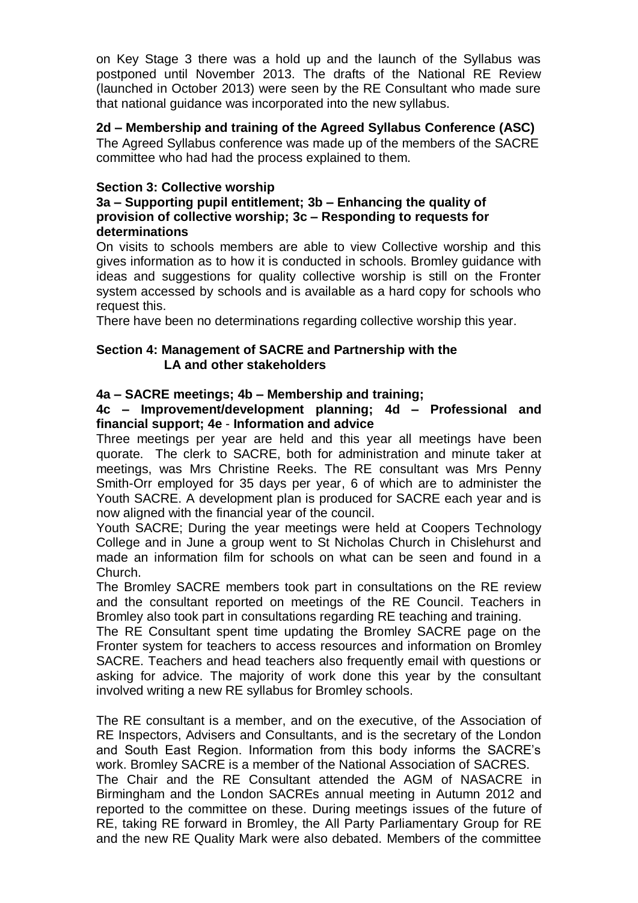on Key Stage 3 there was a hold up and the launch of the Syllabus was postponed until November 2013. The drafts of the National RE Review (launched in October 2013) were seen by the RE Consultant who made sure that national guidance was incorporated into the new syllabus.

# **2d – Membership and training of the Agreed Syllabus Conference (ASC)**

The Agreed Syllabus conference was made up of the members of the SACRE committee who had had the process explained to them.

#### **Section 3: Collective worship**

#### **3a – Supporting pupil entitlement; 3b – Enhancing the quality of provision of collective worship; 3c – Responding to requests for determinations**

On visits to schools members are able to view Collective worship and this gives information as to how it is conducted in schools. Bromley guidance with ideas and suggestions for quality collective worship is still on the Fronter system accessed by schools and is available as a hard copy for schools who request this.

There have been no determinations regarding collective worship this year.

#### **Section 4: Management of SACRE and Partnership with the LA and other stakeholders**

### **4a – SACRE meetings; 4b – Membership and training;**

#### **4c – Improvement/development planning; 4d – Professional and financial support; 4e** - **Information and advice**

Three meetings per year are held and this year all meetings have been quorate. The clerk to SACRE, both for administration and minute taker at meetings, was Mrs Christine Reeks. The RE consultant was Mrs Penny Smith-Orr employed for 35 days per year, 6 of which are to administer the Youth SACRE. A development plan is produced for SACRE each year and is now aligned with the financial year of the council.

Youth SACRE; During the year meetings were held at Coopers Technology College and in June a group went to St Nicholas Church in Chislehurst and made an information film for schools on what can be seen and found in a Church.

The Bromley SACRE members took part in consultations on the RE review and the consultant reported on meetings of the RE Council. Teachers in Bromley also took part in consultations regarding RE teaching and training.

The RE Consultant spent time updating the Bromley SACRE page on the Fronter system for teachers to access resources and information on Bromley SACRE. Teachers and head teachers also frequently email with questions or asking for advice. The majority of work done this year by the consultant involved writing a new RE syllabus for Bromley schools.

The RE consultant is a member, and on the executive, of the Association of RE Inspectors, Advisers and Consultants, and is the secretary of the London and South East Region. Information from this body informs the SACRE's work. Bromley SACRE is a member of the National Association of SACRES.

The Chair and the RE Consultant attended the AGM of NASACRE in Birmingham and the London SACREs annual meeting in Autumn 2012 and reported to the committee on these. During meetings issues of the future of RE, taking RE forward in Bromley, the All Party Parliamentary Group for RE and the new RE Quality Mark were also debated. Members of the committee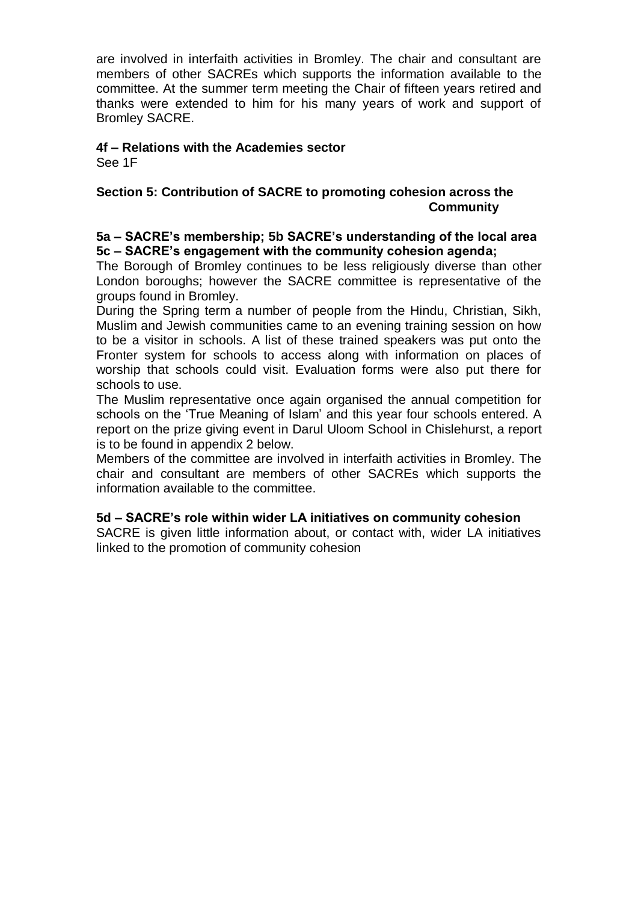are involved in interfaith activities in Bromley. The chair and consultant are members of other SACREs which supports the information available to the committee. At the summer term meeting the Chair of fifteen years retired and thanks were extended to him for his many years of work and support of Bromley SACRE.

#### **4f – Relations with the Academies sector**

See 1F

### **Section 5: Contribution of SACRE to promoting cohesion across the Community**

#### **5a – SACRE's membership; 5b SACRE's understanding of the local area 5c – SACRE's engagement with the community cohesion agenda;**

The Borough of Bromley continues to be less religiously diverse than other London boroughs; however the SACRE committee is representative of the groups found in Bromley.

During the Spring term a number of people from the Hindu, Christian, Sikh, Muslim and Jewish communities came to an evening training session on how to be a visitor in schools. A list of these trained speakers was put onto the Fronter system for schools to access along with information on places of worship that schools could visit. Evaluation forms were also put there for schools to use.

The Muslim representative once again organised the annual competition for schools on the 'True Meaning of Islam' and this year four schools entered. A report on the prize giving event in Darul Uloom School in Chislehurst, a report is to be found in appendix 2 below.

Members of the committee are involved in interfaith activities in Bromley. The chair and consultant are members of other SACREs which supports the information available to the committee.

#### **5d – SACRE's role within wider LA initiatives on community cohesion**

SACRE is given little information about, or contact with, wider LA initiatives linked to the promotion of community cohesion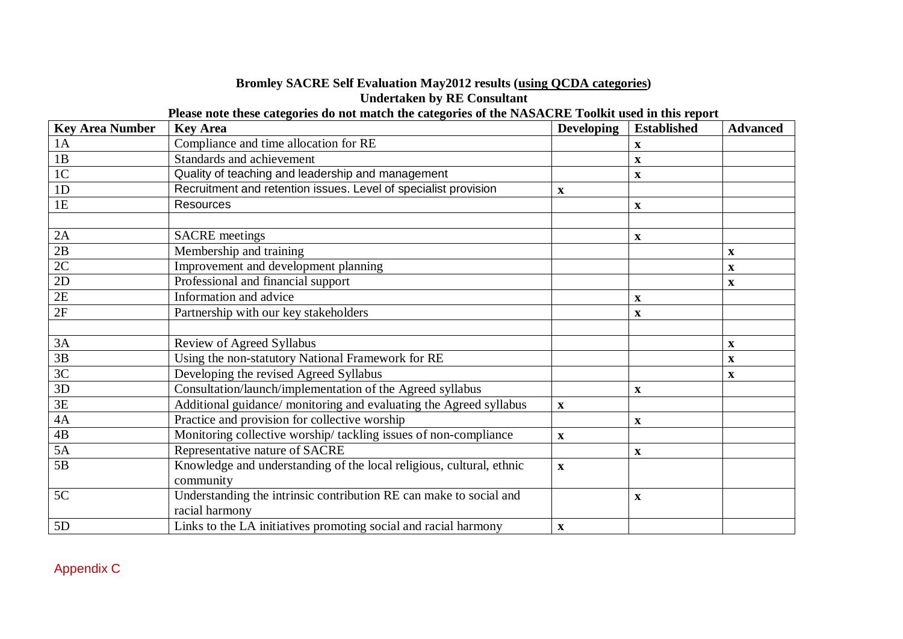### **Bromley SACRE Self Evaluation May2012 results (using QCDA categories) Undertaken by RE Consultant**

**Please note these categories do not match the categories of the NASACRE Toolkit used in this report**

| <b>Key Area Number</b> | <b>Key Area</b>                                                      | <b>Developing</b>         | <b>Established</b>        | <b>Advanced</b> |
|------------------------|----------------------------------------------------------------------|---------------------------|---------------------------|-----------------|
| 1A                     | Compliance and time allocation for RE                                |                           | $\mathbf{x}$              |                 |
| 1B                     | Standards and achievement                                            |                           | $\mathbf x$               |                 |
| 1 <sup>C</sup>         | Quality of teaching and leadership and management                    |                           | $\boldsymbol{\mathrm{X}}$ |                 |
| 1D                     | Recruitment and retention issues. Level of specialist provision      | X                         |                           |                 |
| 1E                     | <b>Resources</b>                                                     |                           | $\mathbf X$               |                 |
|                        |                                                                      |                           |                           |                 |
| 2A                     | <b>SACRE</b> meetings                                                |                           | $\boldsymbol{\mathrm{X}}$ |                 |
| 2B                     | Membership and training                                              |                           |                           | $\mathbf X$     |
| 2C                     | Improvement and development planning                                 |                           |                           | $\mathbf x$     |
| 2D                     | Professional and financial support                                   |                           |                           | $\mathbf x$     |
| 2E                     | Information and advice                                               |                           | $\mathbf X$               |                 |
| 2F                     | Partnership with our key stakeholders                                |                           | $\mathbf x$               |                 |
|                        |                                                                      |                           |                           |                 |
| 3A                     | Review of Agreed Syllabus                                            |                           |                           | $\mathbf x$     |
| 3B                     | Using the non-statutory National Framework for RE                    |                           |                           | $\mathbf x$     |
| 3C                     | Developing the revised Agreed Syllabus                               |                           |                           | $\mathbf{x}$    |
| 3D                     | Consultation/launch/implementation of the Agreed syllabus            |                           | $\mathbf X$               |                 |
| 3E                     | Additional guidance/ monitoring and evaluating the Agreed syllabus   | $\mathbf{X}$              |                           |                 |
| $4\mathrm{A}$          | Practice and provision for collective worship                        |                           | $\mathbf{x}$              |                 |
| $\overline{AB}$        | Monitoring collective worship/tackling issues of non-compliance      | $\mathbf{X}$              |                           |                 |
| 5A                     | Representative nature of SACRE                                       |                           | $\mathbf x$               |                 |
| 5B                     | Knowledge and understanding of the local religious, cultural, ethnic | $\boldsymbol{\mathrm{X}}$ |                           |                 |
|                        | community                                                            |                           |                           |                 |
| 5C                     | Understanding the intrinsic contribution RE can make to social and   |                           | $\mathbf X$               |                 |
|                        | racial harmony                                                       |                           |                           |                 |
| 5D                     | Links to the LA initiatives promoting social and racial harmony      | $\mathbf{X}$              |                           |                 |

Appendix C